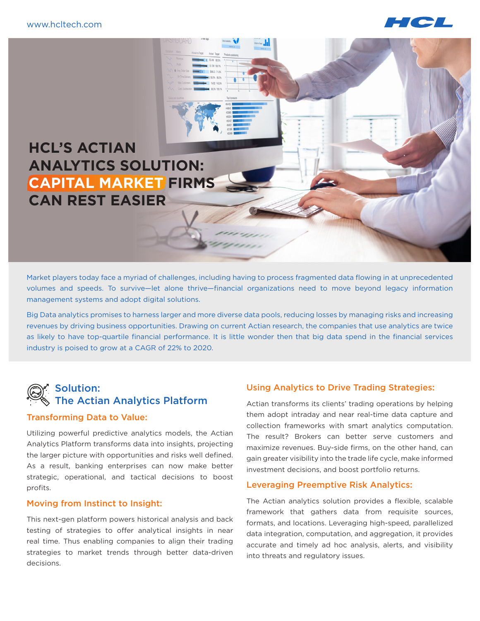

## **HCL'S ACTIAN ANALYTICS SOLUTION: CAPITAL MARKET FIRMS CAN REST EASIER**

Market players today face a myriad of challenges, including having to process fragmented data flowing in at unprecedented volumes and speeds. To survive—let alone thrive—financial organizations need to move beyond legacy information management systems and adopt digital solutions.

Big Data analytics promises to harness larger and more diverse data pools, reducing losses by managing risks and increasing revenues by driving business opportunities. Drawing on current Actian research, the companies that use analytics are twice as likely to have top-quartile financial performance. It is little wonder then that big data spend in the financial services industry is poised to grow at a CAGR of 22% to 2020.

### Solution: The Actian Analytics Platform

#### Transforming Data to Value:

Utilizing powerful predictive analytics models, the Actian Analytics Platform transforms data into insights, projecting the larger picture with opportunities and risks well defined. As a result, banking enterprises can now make better strategic, operational, and tactical decisions to boost profits.

#### Moving from Instinct to Insight:

This next-gen platform powers historical analysis and back testing of strategies to offer analytical insights in near real time. Thus enabling companies to align their trading strategies to market trends through better data-driven decisions.

#### Using Analytics to Drive Trading Strategies:

Actian transforms its clients' trading operations by helping them adopt intraday and near real-time data capture and collection frameworks with smart analytics computation. The result? Brokers can better serve customers and maximize revenues. Buy-side firms, on the other hand, can gain greater visibility into the trade life cycle, make informed investment decisions, and boost portfolio returns.

#### Leveraging Preemptive Risk Analytics:

The Actian analytics solution provides a flexible, scalable framework that gathers data from requisite sources, formats, and locations. Leveraging high-speed, parallelized data integration, computation, and aggregation, it provides accurate and timely ad hoc analysis, alerts, and visibility into threats and regulatory issues.